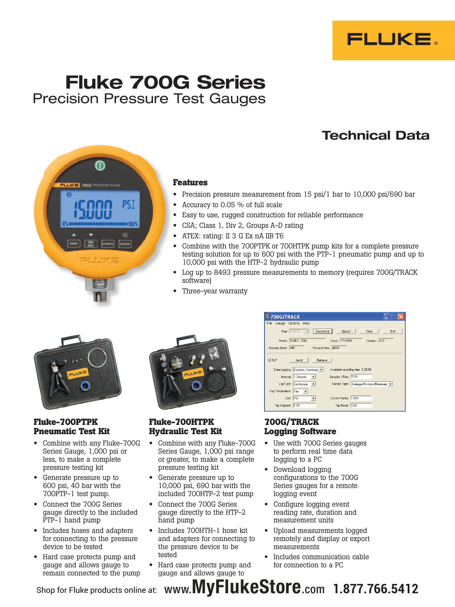

# Fluke 700G Series Precision Pressure Test Gauges

PS 1

 $100$ 

## Technical Data



- Precision pressure measurement from 15 psi/1 bar to 10,000 psi/690 bar
- Accuracy to  $0.05\%$  of full scale
- Easy to use, rugged construction for reliable performance
- CSA; Class 1, Div 2, Groups A-D rating
- ATEX: rating: II 3 G Ex nA IIB T6
- Combine with the 700PTPK or 700HTPK pump kits for a complete pressure testing solution for up to 600 psi with the PTP-1 pneumatic pump and up to 10,000 psi with the HTP-2 hydraulic pump
- Log up to 8493 pressure measurements to memory (requires 700G/TRACK software)
- Three-year warranty



## **Fluke-700PTPK Pneumatic Test Kit**

- Combine with any Fluke-700G Series Gauge, 1,000 psi or less, to make a complete pressure testing kit
- Generate pressure up to 600 psi, 40 bar with the 700PTP-1 test pump.
- • Connect the 700G Series gauge directly to the included PTP-1 hand pump
- • Includes hoses and adapters for connecting to the pressure device to be tested
- Hard case protects pump and gauge and allows gauge to remain connected to the pump



## **Fluke-700HTPK Hydraulic Test Kit**

- Combine with any Fluke-700G Series Gauge, 1,000 psi range or greater, to make a complete pressure testing kit
- Generate pressure up to 10,000 psi, 690 bar with the included 700HTP-2 test pump
- • Connect the 700G Series gauge directly to the HTP-2 hand pump
- • Includes 700HTH-1 hose kit and adapters for connecting to the pressure device to be tested
- Hard case protects pump and gauge and allows gauge to

| <b>第700G/TRACK</b>                                                          |
|-----------------------------------------------------------------------------|
| File<br>Gauge Options Help                                                  |
| Disconnect<br>Port COM10<br>Upload<br>Exit<br>Clear<br>$\vert \nabla \vert$ |
| Model FLUKE, 700G<br>Serial: 1719048<br>Version: 4.01                       |
| Records Free: 4655<br>Records Used: 445                                     |
| SETUP<br>Retrieve<br>Send                                                   |
| Data Logging: Enabled, Download v<br>Available recording time: 0:25:49      |
| Samples / Run: 5100<br>Interval: 1 Second<br>$\vert \cdot \vert$            |
| Log Type: Continuous v<br>Sample Type: Average/Minimum/Maximum v            |
| Log Temperature: Yes v                                                      |
| Custom Factor: 1.000<br>Unit: PSI<br>$\left( \frac{1}{2} \right)$           |
| Trip Setpoint: 1.00<br>Trip Reset: 0.00                                     |
|                                                                             |

## **700G/TRACK Logging Software**

- Use with 700G Series gauges to perform real time data logging to a PC
- • Download logging configurations to the 700G Series gauges for a remote logging event
- • Configure logging event reading rate, duration and measurement units
- Upload measurements logged remotely and display or export measurements
- Includes communication cable for connection to a PC

Shop for Fluke products online at: www.MyFlukeStore.com  $\,$  1.877.766.5412